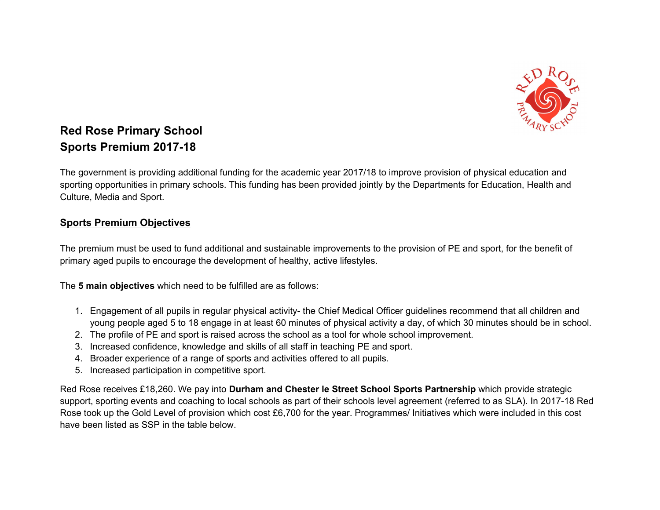

## **Red Rose Primary School Sports Premium 2017-18**

The government is providing additional funding for the academic year 2017/18 to improve provision of physical education and sporting opportunities in primary schools. This funding has been provided jointly by the Departments for Education, Health and Culture, Media and Sport.

## **Sports Premium Objectives**

The premium must be used to fund additional and sustainable improvements to the provision of PE and sport, for the benefit of primary aged pupils to encourage the development of healthy, active lifestyles.

The **5 main objectives** which need to be fulfilled are as follows:

- 1. Engagement of all pupils in regular physical activity- the Chief Medical Officer guidelines recommend that all children and young people aged 5 to 18 engage in at least 60 minutes of physical activity a day, of which 30 minutes should be in school.
- 2. The profile of PE and sport is raised across the school as a tool for whole school improvement.
- 3. Increased confidence, knowledge and skills of all staff in teaching PE and sport.
- 4. Broader experience of a range of sports and activities offered to all pupils.
- 5. Increased participation in competitive sport.

Red Rose receives £18,260. We pay into **Durham and Chester le Street School Sports Partnership** which provide strategic support, sporting events and coaching to local schools as part of their schools level agreement (referred to as SLA). In 2017-18 Red Rose took up the Gold Level of provision which cost £6,700 for the year. Programmes/ Initiatives which were included in this cost have been listed as SSP in the table below.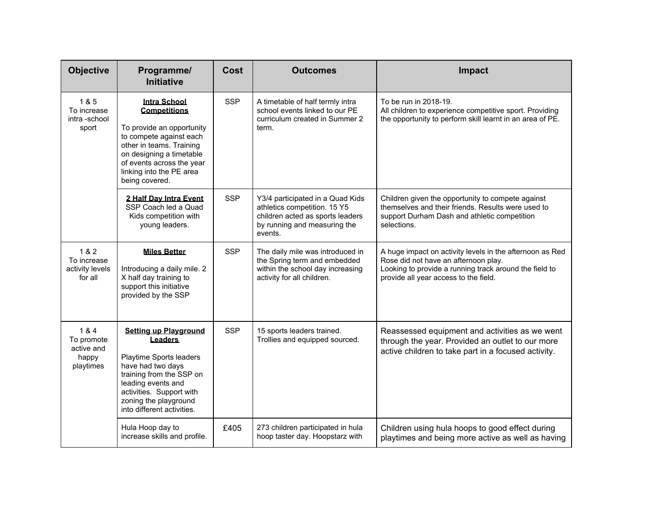| <b>Objective</b>                                      | Programme/<br><b>Initiative</b>                                                                                                                                                                                                       | <b>Cost</b> | <b>Outcomes</b>                                                                                                                                 | Impact                                                                                                                                                                                              |
|-------------------------------------------------------|---------------------------------------------------------------------------------------------------------------------------------------------------------------------------------------------------------------------------------------|-------------|-------------------------------------------------------------------------------------------------------------------------------------------------|-----------------------------------------------------------------------------------------------------------------------------------------------------------------------------------------------------|
| 1 & 5<br>To increase<br>intra-school<br>sport         | <b>Intra School</b><br><b>Competitions</b><br>To provide an opportunity<br>to compete against each<br>other in teams. Training<br>on designing a timetable<br>of events across the year<br>linking into the PE area<br>being covered. | <b>SSP</b>  | A timetable of half termly intra<br>school events linked to our PE<br>curriculum created in Summer 2<br>term.                                   | To be run in 2018-19.<br>All children to experience competitive sport. Providing<br>the opportunity to perform skill learnt in an area of PE.                                                       |
|                                                       | 2 Half Day Intra Event<br>SSP Coach led a Quad<br>Kids competition with<br>young leaders.                                                                                                                                             | <b>SSP</b>  | Y3/4 participated in a Quad Kids<br>athletics competition. 15 Y5<br>children acted as sports leaders<br>by running and measuring the<br>events. | Children given the opportunity to compete against<br>themselves and their friends. Results were used to<br>support Durham Dash and athletic competition<br>selections.                              |
| 1 & 2<br>To increase<br>activity levels<br>for all    | <b>Miles Better</b><br>Introducing a daily mile. 2<br>X half day training to<br>support this initiative<br>provided by the SSP                                                                                                        | <b>SSP</b>  | The daily mile was introduced in<br>the Spring term and embedded<br>within the school day increasing<br>activity for all children.              | A huge impact on activity levels in the afternoon as Red<br>Rose did not have an afternoon play.<br>Looking to provide a running track around the field to<br>provide all year access to the field. |
| 1&4<br>To promote<br>active and<br>happy<br>playtimes | <b>Setting up Playground</b><br><b>Leaders</b><br>Playtime Sports leaders<br>have had two days<br>training from the SSP on<br>leading events and<br>activities. Support with<br>zoning the playground<br>into different activities.   | <b>SSP</b>  | 15 sports leaders trained.<br>Trollies and equipped sourced.                                                                                    | Reassessed equipment and activities as we went<br>through the year. Provided an outlet to our more<br>active children to take part in a focused activity.                                           |
|                                                       | Hula Hoop day to<br>increase skills and profile.                                                                                                                                                                                      | £405        | 273 children participated in hula<br>hoop taster day. Hoopstarz with                                                                            | Children using hula hoops to good effect during<br>playtimes and being more active as well as having                                                                                                |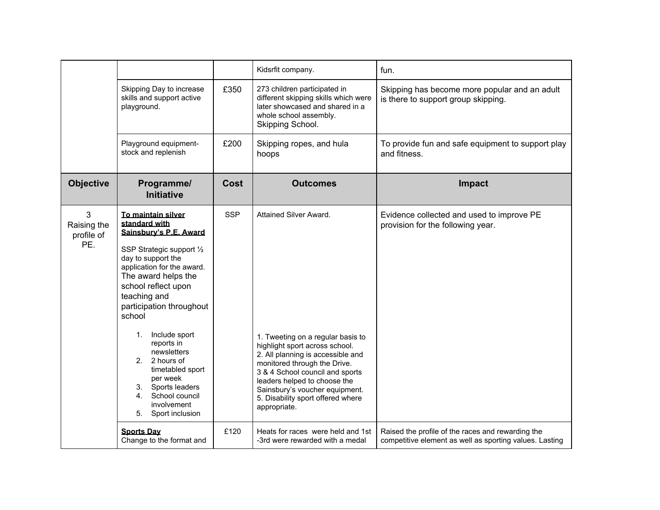|                                       |                                                                                                                                                                                                                                                                                                                                                                                                                                           |             | Kidsrfit company.                                                                                                                                                                                                                                                                                                            | fun.                                                                                                         |
|---------------------------------------|-------------------------------------------------------------------------------------------------------------------------------------------------------------------------------------------------------------------------------------------------------------------------------------------------------------------------------------------------------------------------------------------------------------------------------------------|-------------|------------------------------------------------------------------------------------------------------------------------------------------------------------------------------------------------------------------------------------------------------------------------------------------------------------------------------|--------------------------------------------------------------------------------------------------------------|
|                                       | Skipping Day to increase<br>skills and support active<br>playground.                                                                                                                                                                                                                                                                                                                                                                      | £350        | 273 children participated in<br>different skipping skills which were<br>later showcased and shared in a<br>whole school assembly.<br>Skipping School.                                                                                                                                                                        | Skipping has become more popular and an adult<br>is there to support group skipping.                         |
|                                       | Playground equipment-<br>stock and replenish                                                                                                                                                                                                                                                                                                                                                                                              | £200        | Skipping ropes, and hula<br>hoops                                                                                                                                                                                                                                                                                            | To provide fun and safe equipment to support play<br>and fitness.                                            |
| <b>Objective</b>                      | Programme/<br><b>Initiative</b>                                                                                                                                                                                                                                                                                                                                                                                                           | <b>Cost</b> | <b>Outcomes</b>                                                                                                                                                                                                                                                                                                              | <b>Impact</b>                                                                                                |
| 3<br>Raising the<br>profile of<br>PE. | To maintain silver<br>standard with<br>Sainsbury's P.E. Award<br>SSP Strategic support 1/2<br>day to support the<br>application for the award.<br>The award helps the<br>school reflect upon<br>teaching and<br>participation throughout<br>school<br>Include sport<br>1.<br>reports in<br>newsletters<br>2. 2 hours of<br>timetabled sport<br>per week<br>3. Sports leaders<br>4. School council<br>involvement<br>5.<br>Sport inclusion | <b>SSP</b>  | Attained Silver Award.<br>1. Tweeting on a regular basis to<br>highlight sport across school.<br>2. All planning is accessible and<br>monitored through the Drive.<br>3 & 4 School council and sports<br>leaders helped to choose the<br>Sainsbury's voucher equipment.<br>5. Disability sport offered where<br>appropriate. | Evidence collected and used to improve PE<br>provision for the following year.                               |
|                                       | <b>Sports Day</b><br>Change to the format and                                                                                                                                                                                                                                                                                                                                                                                             | £120        | Heats for races were held and 1st<br>-3rd were rewarded with a medal                                                                                                                                                                                                                                                         | Raised the profile of the races and rewarding the<br>competitive element as well as sporting values. Lasting |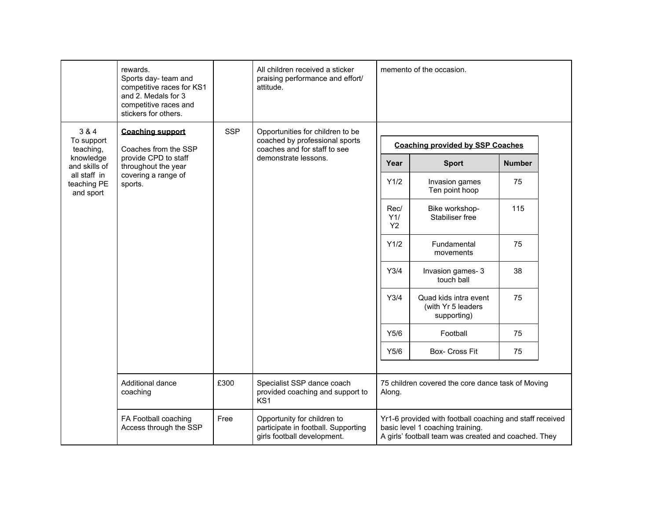|                                          | rewards.<br>Sports day- team and<br>competitive races for KS1<br>and 2. Medals for 3<br>competitive races and<br>stickers for others. |            | All children received a sticker<br>praising performance and effort/<br>attitude.                  |                          | memento of the occasion.                                                                                                                             |               |  |
|------------------------------------------|---------------------------------------------------------------------------------------------------------------------------------------|------------|---------------------------------------------------------------------------------------------------|--------------------------|------------------------------------------------------------------------------------------------------------------------------------------------------|---------------|--|
| 3 & 4<br>To support                      | <b>Coaching support</b>                                                                                                               | <b>SSP</b> | Opportunities for children to be<br>coached by professional sports                                |                          |                                                                                                                                                      |               |  |
| teaching,<br>knowledge                   | Coaches from the SSP<br>provide CPD to staff                                                                                          |            | coaches and for staff to see<br>demonstrate lessons.                                              |                          | <b>Coaching provided by SSP Coaches</b>                                                                                                              |               |  |
| and skills of                            | throughout the year                                                                                                                   |            |                                                                                                   | Year                     | <b>Sport</b>                                                                                                                                         | <b>Number</b> |  |
| all staff in<br>teaching PE<br>and sport | covering a range of<br>sports.                                                                                                        |            |                                                                                                   | Y1/2                     | Invasion games<br>Ten point hoop                                                                                                                     | 75            |  |
|                                          |                                                                                                                                       |            |                                                                                                   | Rec/<br>Y1/<br><b>Y2</b> | Bike workshop-<br>Stabiliser free                                                                                                                    | 115           |  |
|                                          |                                                                                                                                       |            |                                                                                                   | Y1/2                     | Fundamental<br>movements                                                                                                                             | 75            |  |
|                                          |                                                                                                                                       |            |                                                                                                   | Y3/4                     | Invasion games-3<br>touch ball                                                                                                                       | 38            |  |
|                                          |                                                                                                                                       |            |                                                                                                   | Y3/4                     | Quad kids intra event<br>(with Yr 5 leaders<br>supporting)                                                                                           | 75            |  |
|                                          |                                                                                                                                       |            |                                                                                                   | Y5/6                     | Football                                                                                                                                             | 75            |  |
|                                          |                                                                                                                                       |            |                                                                                                   | Y5/6                     | Box- Cross Fit                                                                                                                                       | 75            |  |
|                                          | Additional dance<br>coaching                                                                                                          | £300       | Specialist SSP dance coach<br>provided coaching and support to<br>KS <sub>1</sub>                 | Along.                   | 75 children covered the core dance task of Moving                                                                                                    |               |  |
|                                          | FA Football coaching<br>Access through the SSP                                                                                        | Free       | Opportunity for children to<br>participate in football. Supporting<br>girls football development. |                          | Yr1-6 provided with football coaching and staff received<br>basic level 1 coaching training.<br>A girls' football team was created and coached. They |               |  |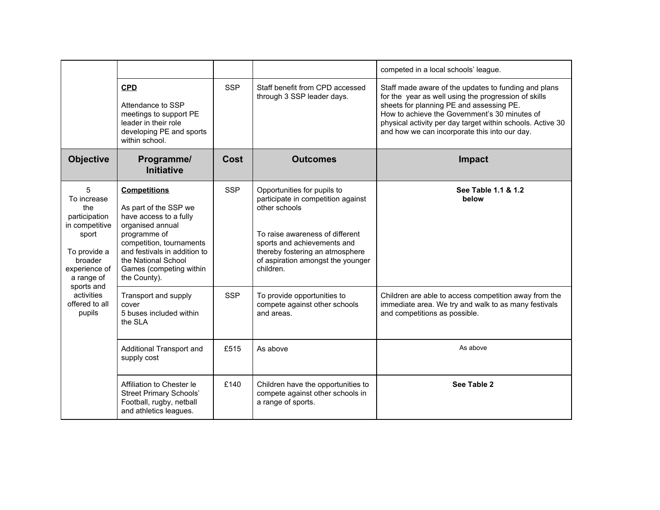|                                                                                                                               |                                                                                                                                                                                                                                          |            |                                                                                                                                                                                                                                           | competed in a local schools' league.                                                                                                                                                                                                                                                                                     |
|-------------------------------------------------------------------------------------------------------------------------------|------------------------------------------------------------------------------------------------------------------------------------------------------------------------------------------------------------------------------------------|------------|-------------------------------------------------------------------------------------------------------------------------------------------------------------------------------------------------------------------------------------------|--------------------------------------------------------------------------------------------------------------------------------------------------------------------------------------------------------------------------------------------------------------------------------------------------------------------------|
|                                                                                                                               | <b>CPD</b><br>Attendance to SSP<br>meetings to support PE<br>leader in their role<br>developing PE and sports<br>within school.                                                                                                          | <b>SSP</b> | Staff benefit from CPD accessed<br>through 3 SSP leader days.                                                                                                                                                                             | Staff made aware of the updates to funding and plans<br>for the year as well using the progression of skills<br>sheets for planning PE and assessing PE.<br>How to achieve the Government's 30 minutes of<br>physical activity per day target within schools. Active 30<br>and how we can incorporate this into our day. |
| <b>Objective</b>                                                                                                              | Programme/<br><b>Initiative</b>                                                                                                                                                                                                          | Cost       | <b>Outcomes</b>                                                                                                                                                                                                                           | <b>Impact</b>                                                                                                                                                                                                                                                                                                            |
| 5<br>To increase<br>the<br>participation<br>in competitive<br>sport<br>To provide a<br>broader<br>experience of<br>a range of | <b>Competitions</b><br>As part of the SSP we<br>have access to a fully<br>organised annual<br>programme of<br>competition, tournaments<br>and festivals in addition to<br>the National School<br>Games (competing within<br>the County). | <b>SSP</b> | Opportunities for pupils to<br>participate in competition against<br>other schools<br>To raise awareness of different<br>sports and achievements and<br>thereby fostering an atmosphere<br>of aspiration amongst the younger<br>children. | See Table 1.1 & 1.2<br>below                                                                                                                                                                                                                                                                                             |
| sports and<br>activities<br>offered to all<br>pupils                                                                          | Transport and supply<br>cover<br>5 buses included within<br>the SLA                                                                                                                                                                      | <b>SSP</b> | To provide opportunities to<br>compete against other schools<br>and areas.                                                                                                                                                                | Children are able to access competition away from the<br>immediate area. We try and walk to as many festivals<br>and competitions as possible.                                                                                                                                                                           |
|                                                                                                                               | Additional Transport and<br>supply cost                                                                                                                                                                                                  | £515       | As above                                                                                                                                                                                                                                  | As above                                                                                                                                                                                                                                                                                                                 |
|                                                                                                                               | Affiliation to Chester le<br><b>Street Primary Schools'</b><br>Football, rugby, netball<br>and athletics leagues.                                                                                                                        | £140       | Children have the opportunities to<br>compete against other schools in<br>a range of sports.                                                                                                                                              | See Table 2                                                                                                                                                                                                                                                                                                              |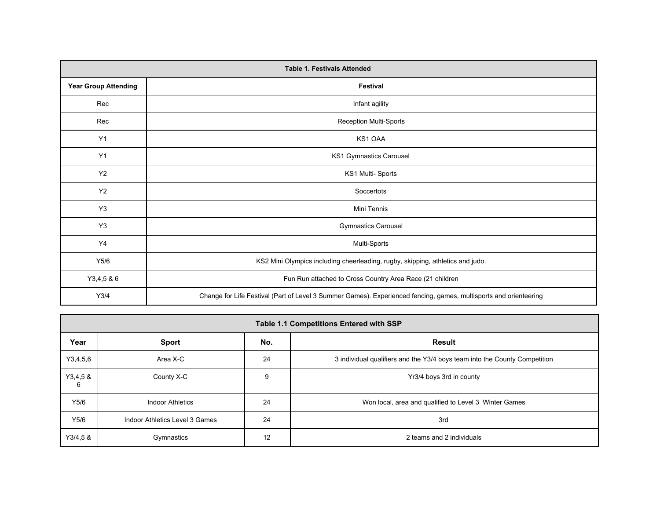|                             | <b>Table 1. Festivals Attended</b>                                                                                |  |  |  |  |  |  |
|-----------------------------|-------------------------------------------------------------------------------------------------------------------|--|--|--|--|--|--|
| <b>Year Group Attending</b> | Festival                                                                                                          |  |  |  |  |  |  |
| Rec                         | Infant agility                                                                                                    |  |  |  |  |  |  |
| Rec                         | <b>Reception Multi-Sports</b>                                                                                     |  |  |  |  |  |  |
| Y1                          | KS1 OAA                                                                                                           |  |  |  |  |  |  |
| Y1                          | KS1 Gymnastics Carousel                                                                                           |  |  |  |  |  |  |
| Y2                          | KS1 Multi-Sports                                                                                                  |  |  |  |  |  |  |
| <b>Y2</b>                   | Soccertots                                                                                                        |  |  |  |  |  |  |
| Y <sub>3</sub>              | Mini Tennis                                                                                                       |  |  |  |  |  |  |
| Y3                          | <b>Gymnastics Carousel</b>                                                                                        |  |  |  |  |  |  |
| Y4                          | Multi-Sports                                                                                                      |  |  |  |  |  |  |
| Y5/6                        | KS2 Mini Olympics including cheerleading, rugby, skipping, athletics and judo.                                    |  |  |  |  |  |  |
| Y3,4,5 & 6                  | Fun Run attached to Cross Country Area Race (21 children                                                          |  |  |  |  |  |  |
| Y3/4                        | Change for Life Festival (Part of Level 3 Summer Games). Experienced fencing, games, multisports and orienteering |  |  |  |  |  |  |

|              | <b>Table 1.1 Competitions Entered with SSP</b> |     |                                                                            |  |  |  |
|--------------|------------------------------------------------|-----|----------------------------------------------------------------------------|--|--|--|
| Year         | <b>Sport</b>                                   | No. | <b>Result</b>                                                              |  |  |  |
| Y3,4,5,6     | Area X-C                                       | 24  | 3 individual qualifiers and the Y3/4 boys team into the County Competition |  |  |  |
| Y3,4,58<br>6 | County X-C                                     | 9   | Yr3/4 boys 3rd in county                                                   |  |  |  |
| Y5/6         | <b>Indoor Athletics</b>                        | 24  | Won local, area and qualified to Level 3 Winter Games                      |  |  |  |
| Y5/6         | Indoor Athletics Level 3 Games                 | 24  | 3rd                                                                        |  |  |  |
| Y3/4,58      | Gymnastics                                     | 12  | 2 teams and 2 individuals                                                  |  |  |  |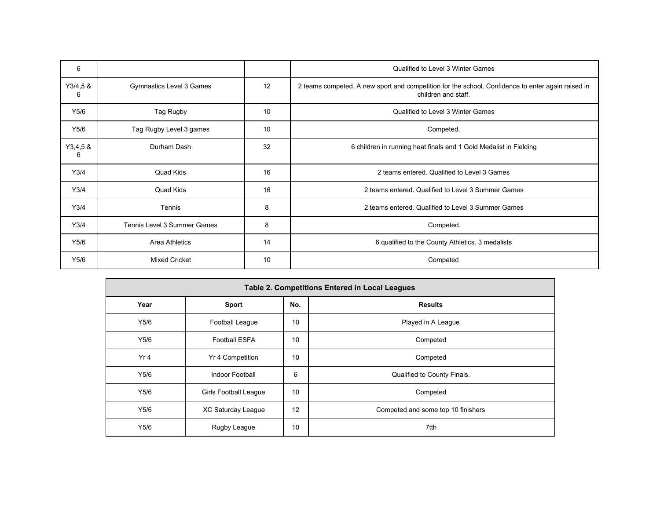| 6            |                             |    | Qualified to Level 3 Winter Games                                                                                        |
|--------------|-----------------------------|----|--------------------------------------------------------------------------------------------------------------------------|
| Y3/4,58<br>6 | Gymnastics Level 3 Games    | 12 | 2 teams competed. A new sport and competition for the school. Confidence to enter again raised in<br>children and staff. |
| Y5/6         | Tag Rugby                   | 10 | Qualified to Level 3 Winter Games                                                                                        |
| Y5/6         | Tag Rugby Level 3 games     | 10 | Competed.                                                                                                                |
| Y3,4,58<br>6 | Durham Dash                 | 32 | 6 children in running heat finals and 1 Gold Medalist in Fielding                                                        |
| Y3/4         | Quad Kids                   | 16 | 2 teams entered. Qualified to Level 3 Games                                                                              |
| Y3/4         | Quad Kids                   | 16 | 2 teams entered. Qualified to Level 3 Summer Games                                                                       |
| Y3/4         | Tennis                      | 8  | 2 teams entered. Qualified to Level 3 Summer Games                                                                       |
| Y3/4         | Tennis Level 3 Summer Games | 8  | Competed.                                                                                                                |
| Y5/6         | Area Athletics              | 14 | 6 qualified to the County Athletics. 3 medalists                                                                         |
| Y5/6         | <b>Mixed Cricket</b>        | 10 | Competed                                                                                                                 |

| <b>Table 2. Competitions Entered in Local Leagues</b> |                              |    |                                    |  |  |  |
|-------------------------------------------------------|------------------------------|----|------------------------------------|--|--|--|
| Year                                                  | No.<br><b>Sport</b>          |    | <b>Results</b>                     |  |  |  |
| Y5/6                                                  | Football League              | 10 | Played in A League                 |  |  |  |
| Y5/6                                                  | <b>Football ESFA</b>         | 10 | Competed                           |  |  |  |
| Yr4                                                   | Yr 4 Competition             | 10 | Competed                           |  |  |  |
| Y5/6                                                  | Indoor Football              | 6  | Qualified to County Finals.        |  |  |  |
| Y5/6                                                  | <b>Girls Football League</b> | 10 | Competed                           |  |  |  |
| Y5/6                                                  | XC Saturday League           | 12 | Competed and some top 10 finishers |  |  |  |
| Y5/6                                                  | Rugby League                 | 10 | 7tth                               |  |  |  |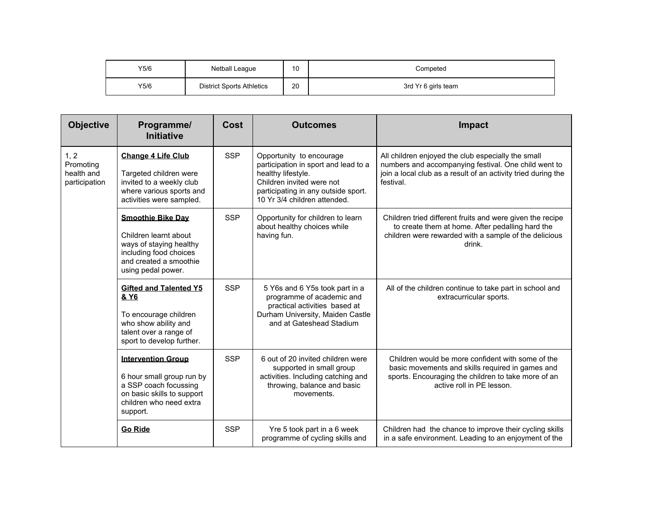| Y5/6 | Netball League                   | 10 | Competed            |
|------|----------------------------------|----|---------------------|
| Y5/6 | <b>District Sports Athletics</b> | 20 | 3rd Yr 6 girls team |

| <b>Objective</b>                                 | Programme/<br><b>Initiative</b>                                                                                                                           | Cost       | <b>Outcomes</b>                                                                                                                                                                            | <b>Impact</b>                                                                                                                                                                             |
|--------------------------------------------------|-----------------------------------------------------------------------------------------------------------------------------------------------------------|------------|--------------------------------------------------------------------------------------------------------------------------------------------------------------------------------------------|-------------------------------------------------------------------------------------------------------------------------------------------------------------------------------------------|
| 1, 2<br>Promoting<br>health and<br>participation | <b>Change 4 Life Club</b><br>Targeted children were<br>invited to a weekly club<br>where various sports and<br>activities were sampled.                   | <b>SSP</b> | Opportunity to encourage<br>participation in sport and lead to a<br>healthy lifestyle.<br>Children invited were not<br>participating in any outside sport.<br>10 Yr 3/4 children attended. | All children enjoyed the club especially the small<br>numbers and accompanying festival. One child went to<br>join a local club as a result of an activity tried during the<br>festival.  |
|                                                  | <b>Smoothie Bike Day</b><br>Children learnt about<br>ways of staying healthy<br>including food choices<br>and created a smoothie<br>using pedal power.    | <b>SSP</b> | Opportunity for children to learn<br>about healthy choices while<br>having fun.                                                                                                            | Children tried different fruits and were given the recipe<br>to create them at home. After pedalling hard the<br>children were rewarded with a sample of the delicious<br>drink.          |
|                                                  | <b>Gifted and Talented Y5</b><br>& Y <sub>6</sub><br>To encourage children<br>who show ability and<br>talent over a range of<br>sport to develop further. | <b>SSP</b> | 5 Y6s and 6 Y5s took part in a<br>programme of academic and<br>practical activities based at<br>Durham University, Maiden Castle<br>and at Gateshead Stadium                               | All of the children continue to take part in school and<br>extracurricular sports.                                                                                                        |
|                                                  | <b>Intervention Group</b><br>6 hour small group run by<br>a SSP coach focussing<br>on basic skills to support<br>children who need extra<br>support.      | <b>SSP</b> | 6 out of 20 invited children were<br>supported in small group<br>activities. Including catching and<br>throwing, balance and basic<br>movements.                                           | Children would be more confident with some of the<br>basic movements and skills required in games and<br>sports. Encouraging the children to take more of an<br>active roll in PE lesson. |
|                                                  | <b>Go Ride</b>                                                                                                                                            | <b>SSP</b> | Yre 5 took part in a 6 week<br>programme of cycling skills and                                                                                                                             | Children had the chance to improve their cycling skills<br>in a safe environment. Leading to an enjoyment of the                                                                          |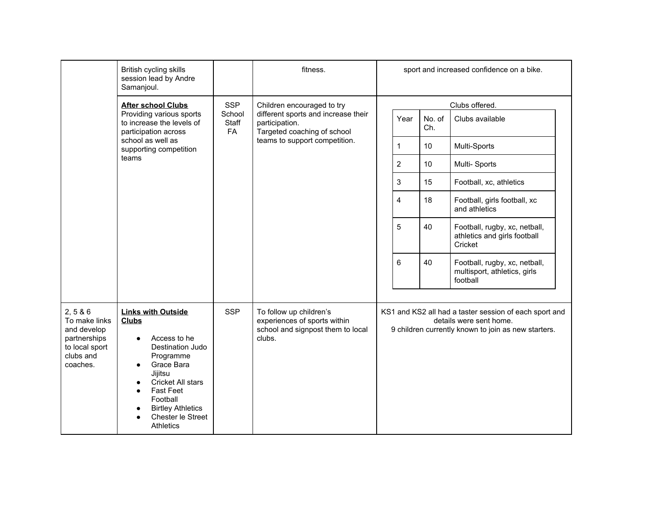|                                                                                                     | British cycling skills<br>session lead by Andre<br>Samanjoul.                                                                                                                                                                                                                                                               |                       | fitness.                                                                                               |                |               | sport and increased confidence on a bike.                                                                                                |
|-----------------------------------------------------------------------------------------------------|-----------------------------------------------------------------------------------------------------------------------------------------------------------------------------------------------------------------------------------------------------------------------------------------------------------------------------|-----------------------|--------------------------------------------------------------------------------------------------------|----------------|---------------|------------------------------------------------------------------------------------------------------------------------------------------|
|                                                                                                     | <b>After school Clubs</b>                                                                                                                                                                                                                                                                                                   | <b>SSP</b>            | Children encouraged to try                                                                             |                |               | Clubs offered.                                                                                                                           |
|                                                                                                     | Providing various sports<br>to increase the levels of<br>participation across                                                                                                                                                                                                                                               | School<br>Staff<br>FA | different sports and increase their<br>participation.<br>Targeted coaching of school                   | Year           | No. of<br>Ch. | Clubs available                                                                                                                          |
|                                                                                                     | school as well as<br>supporting competition                                                                                                                                                                                                                                                                                 |                       | teams to support competition.                                                                          | 1              | 10            | Multi-Sports                                                                                                                             |
|                                                                                                     | teams                                                                                                                                                                                                                                                                                                                       |                       |                                                                                                        | $\overline{2}$ | 10            | Multi-Sports                                                                                                                             |
|                                                                                                     |                                                                                                                                                                                                                                                                                                                             |                       |                                                                                                        | 3              | 15            | Football, xc, athletics                                                                                                                  |
|                                                                                                     |                                                                                                                                                                                                                                                                                                                             |                       |                                                                                                        | $\overline{4}$ | 18            | Football, girls football, xc<br>and athletics                                                                                            |
|                                                                                                     |                                                                                                                                                                                                                                                                                                                             |                       |                                                                                                        | 5              | 40            | Football, rugby, xc, netball,<br>athletics and girls football<br>Cricket                                                                 |
|                                                                                                     |                                                                                                                                                                                                                                                                                                                             |                       |                                                                                                        | 6              | 40            | Football, rugby, xc, netball,<br>multisport, athletics, girls<br>football                                                                |
| 2, 5 & 6<br>To make links<br>and develop<br>partnerships<br>to local sport<br>clubs and<br>coaches. | <b>Links with Outside</b><br><b>Clubs</b><br>Access to he<br>$\bullet$<br>Destination Judo<br>Programme<br>Grace Bara<br>$\bullet$<br>Jijitsu<br>Cricket All stars<br>$\bullet$<br><b>Fast Feet</b><br>$\bullet$<br>Football<br><b>Birtley Athletics</b><br>$\bullet$<br>Chester le Street<br>$\bullet$<br><b>Athletics</b> | <b>SSP</b>            | To follow up children's<br>experiences of sports within<br>school and signpost them to local<br>clubs. |                |               | KS1 and KS2 all had a taster session of each sport and<br>details were sent home.<br>9 children currently known to join as new starters. |